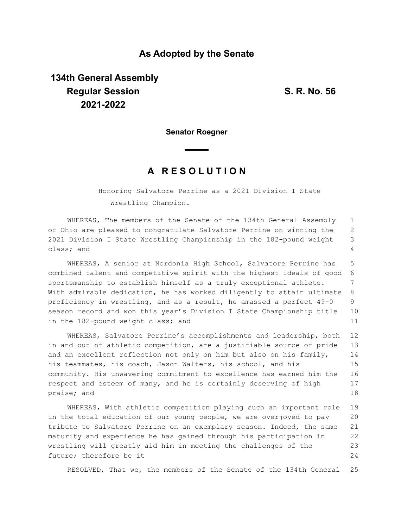### **As Adopted by the Senate**

# **134th General Assembly Regular Session S. R. No. 56 2021-2022**

**Senator Roegner**

## **A R E S O L U T I O N**

Honoring Salvatore Perrine as a 2021 Division I State Wrestling Champion.

WHEREAS, The members of the Senate of the 134th General Assembly of Ohio are pleased to congratulate Salvatore Perrine on winning the 2021 Division I State Wrestling Championship in the 182-pound weight class; and 1 2 3 4

WHEREAS, A senior at Nordonia High School, Salvatore Perrine has combined talent and competitive spirit with the highest ideals of good sportsmanship to establish himself as a truly exceptional athlete. With admirable dedication, he has worked diligently to attain ultimate proficiency in wrestling, and as a result, he amassed a perfect 49-0 season record and won this year's Division I State Championship title in the 182-pound weight class; and 5 6 7 8 9 10 11

WHEREAS, Salvatore Perrine's accomplishments and leadership, both in and out of athletic competition, are a justifiable source of pride and an excellent reflection not only on him but also on his family, his teammates, his coach, Jason Walters, his school, and his community. His unwavering commitment to excellence has earned him the respect and esteem of many, and he is certainly deserving of high praise; and 12 13 14 15 16 17 18

WHEREAS, With athletic competition playing such an important role in the total education of our young people, we are overjoyed to pay tribute to Salvatore Perrine on an exemplary season. Indeed, the same maturity and experience he has gained through his participation in wrestling will greatly aid him in meeting the challenges of the future; therefore be it 19 20 21 22 23 24

RESOLVED, That we, the members of the Senate of the 134th General 25